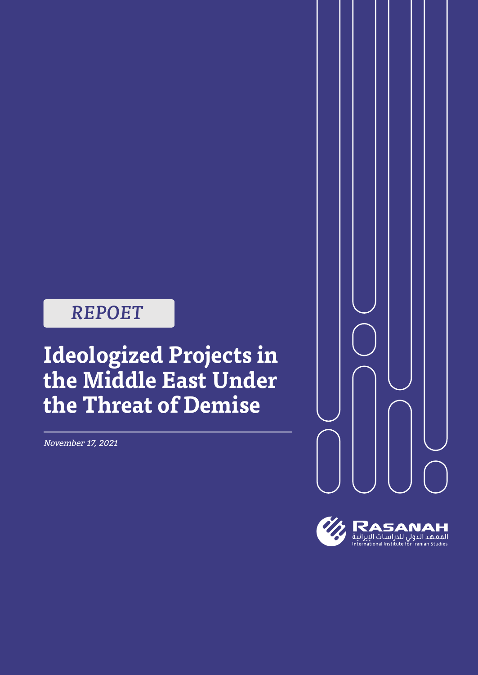# *REPOET*

# **Ideologized Projects in the Middle East Under the Threat of Demise**

*November 17, 2021*



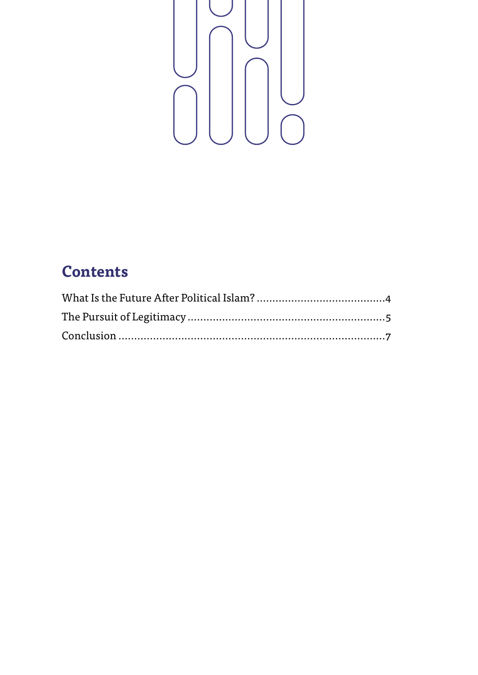

## **Contents**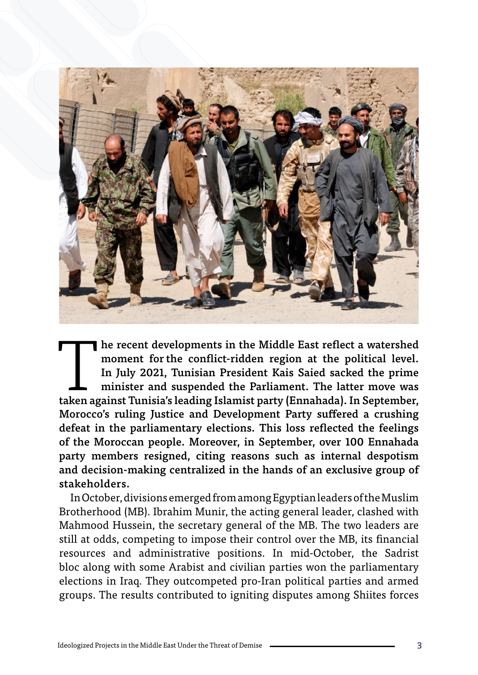

The recent developments in the Middle East reflect a watershed<br>
moment for the conflict-ridden region at the political level.<br>
In July 2021, Tunisian President Kais Saied sacked the prime<br>
minister and suspended the Parlia moment for the conflict-ridden region at the political level. In July 2021, Tunisian President Kais Saied sacked the prime minister and suspended the Parliament. The latter move was Morocco's ruling Justice and Development Party suffered a crushing defeat in the parliamentary elections. This loss reflected the feelings of the Moroccan people. Moreover, in September, over 100 Ennahada party members resigned, citing reasons such as internal despotism and decision-making centralized in the hands of an exclusive group of stakeholders.

In October, divisions emerged from among Egyptian leaders of the Muslim Brotherhood (MB). Ibrahim Munir, the acting general leader, clashed with Mahmood Hussein, the secretary general of the MB. The two leaders are still at odds, competing to impose their control over the MB, its financial resources and administrative positions. In mid-October, the Sadrist bloc along with some Arabist and civilian parties won the parliamentary elections in Iraq. They outcompeted pro-Iran political parties and armed groups. The results contributed to igniting disputes among Shiites forces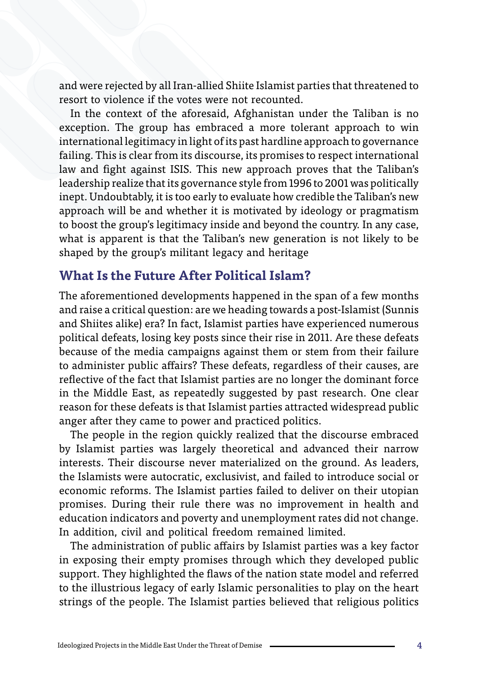<span id="page-3-0"></span>and were rejected by all Iran-allied Shiite Islamist parties that threatened to resort to violence if the votes were not recounted.

In the context of the aforesaid, Afghanistan under the Taliban is no exception. The group has embraced a more tolerant approach to win international legitimacy in light of its past hardline approach to governance failing. This is clear from its discourse, its promises to respect international law and fight against ISIS. This new approach proves that the Taliban's leadership realize that its governance style from 1996 to 2001 was politically inept. Undoubtably, it is too early to evaluate how credible the Taliban's new approach will be and whether it is motivated by ideology or pragmatism to boost the group's legitimacy inside and beyond the country. In any case, what is apparent is that the Taliban's new generation is not likely to be shaped by the group's militant legacy and heritage

### **What Is the Future After Political Islam?**

The aforementioned developments happened in the span of a few months and raise a critical question: are we heading towards a post-Islamist (Sunnis and Shiites alike) era? In fact, Islamist parties have experienced numerous political defeats, losing key posts since their rise in 2011. Are these defeats because of the media campaigns against them or stem from their failure to administer public affairs? These defeats, regardless of their causes, are reflective of the fact that Islamist parties are no longer the dominant force in the Middle East, as repeatedly suggested by past research. One clear reason for these defeats is that Islamist parties attracted widespread public anger after they came to power and practiced politics.

The people in the region quickly realized that the discourse embraced by Islamist parties was largely theoretical and advanced their narrow interests. Their discourse never materialized on the ground. As leaders, the Islamists were autocratic, exclusivist, and failed to introduce social or economic reforms. The Islamist parties failed to deliver on their utopian promises. During their rule there was no improvement in health and education indicators and poverty and unemployment rates did not change. In addition, civil and political freedom remained limited.

The administration of public affairs by Islamist parties was a key factor in exposing their empty promises through which they developed public support. They highlighted the flaws of the nation state model and referred to the illustrious legacy of early Islamic personalities to play on the heart strings of the people. The Islamist parties believed that religious politics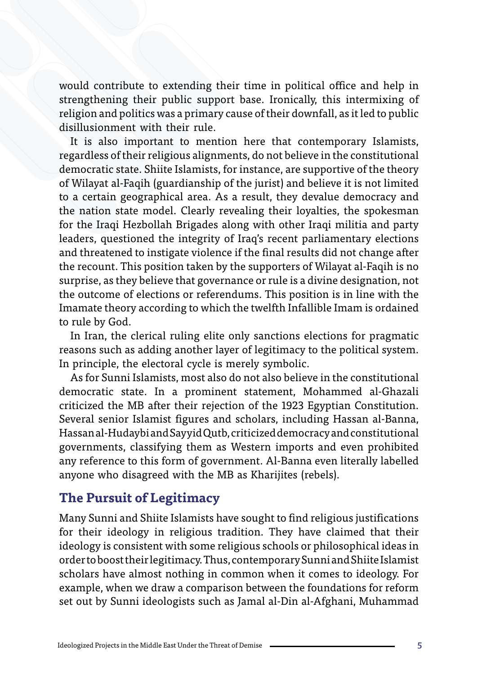<span id="page-4-0"></span>would contribute to extending their time in political office and help in strengthening their public support base. Ironically, this intermixing of religion and politics was a primary cause of their downfall, as it led to public disillusionment with their rule.

It is also important to mention here that contemporary Islamists, regardless of their religious alignments, do not believe in the constitutional democratic state. Shiite Islamists, for instance, are supportive of the theory of Wilayat al-Faqih (guardianship of the jurist) and believe it is not limited to a certain geographical area. As a result, they devalue democracy and the nation state model. Clearly revealing their loyalties, the spokesman for the Iraqi Hezbollah Brigades along with other Iraqi militia and party leaders, questioned the integrity of Iraq's recent parliamentary elections and threatened to instigate violence if the final results did not change after the recount. This position taken by the supporters of Wilayat al-Faqih is no surprise, as they believe that governance or rule is a divine designation, not the outcome of elections or referendums. This position is in line with the Imamate theory according to which the twelfth Infallible Imam is ordained to rule by God.

In Iran, the clerical ruling elite only sanctions elections for pragmatic reasons such as adding another layer of legitimacy to the political system. In principle, the electoral cycle is merely symbolic.

As for Sunni Islamists, most also do not also believe in the constitutional democratic state. In a prominent statement, Mohammed al-Ghazali criticized the MB after their rejection of the 1923 Egyptian Constitution. Several senior Islamist figures and scholars, including Hassan al-Banna, Hassan al-Hudaybi and Sayyid Qutb, criticized democracy and constitutional governments, classifying them as Western imports and even prohibited any reference to this form of government. Al-Banna even literally labelled anyone who disagreed with the MB as Kharijites (rebels).

### **The Pursuit of Legitimacy**

Many Sunni and Shiite Islamists have sought to find religious justifications for their ideology in religious tradition. They have claimed that their ideology is consistent with some religious schools or philosophical ideas in order to boost their legitimacy. Thus, contemporary Sunni and Shiite Islamist scholars have almost nothing in common when it comes to ideology. For example, when we draw a comparison between the foundations for reform set out by Sunni ideologists such as Jamal al-Din al-Afghani, Muhammad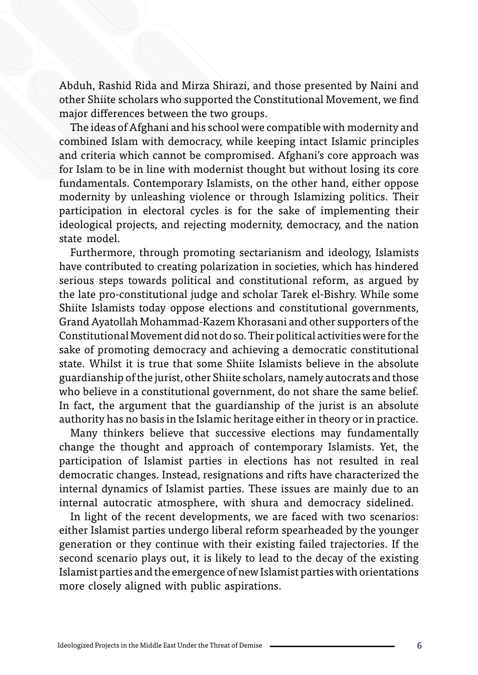Abduh, Rashid Rida and Mirza Shirazi, and those presented by Naini and other Shiite scholars who supported the Constitutional Movement, we find major differences between the two groups.

The ideas of Afghani and his school were compatible with modernity and combined Islam with democracy, while keeping intact Islamic principles and criteria which cannot be compromised. Afghani's core approach was for Islam to be in line with modernist thought but without losing its core fundamentals. Contemporary Islamists, on the other hand, either oppose modernity by unleashing violence or through Islamizing politics. Their participation in electoral cycles is for the sake of implementing their ideological projects, and rejecting modernity, democracy, and the nation state model.

Furthermore, through promoting sectarianism and ideology, Islamists have contributed to creating polarization in societies, which has hindered serious steps towards political and constitutional reform, as argued by the late pro-constitutional judge and scholar Tarek el-Bishry. While some Shiite Islamists today oppose elections and constitutional governments, Grand Ayatollah Mohammad-Kazem Khorasani and other supporters of the Constitutional Movement did not do so. Their political activities were for the sake of promoting democracy and achieving a democratic constitutional state. Whilst it is true that some Shiite Islamists believe in the absolute guardianship of the jurist, other Shiite scholars, namely autocrats and those who believe in a constitutional government, do not share the same belief. In fact, the argument that the guardianship of the jurist is an absolute authority has no basis in the Islamic heritage either in theory or in practice.

Many thinkers believe that successive elections may fundamentally change the thought and approach of contemporary Islamists. Yet, the participation of Islamist parties in elections has not resulted in real democratic changes. Instead, resignations and rifts have characterized the internal dynamics of Islamist parties. These issues are mainly due to an internal autocratic atmosphere, with shura and democracy sidelined.

In light of the recent developments, we are faced with two scenarios: either Islamist parties undergo liberal reform spearheaded by the younger generation or they continue with their existing failed trajectories. If the second scenario plays out, it is likely to lead to the decay of the existing Islamist parties and the emergence of new Islamist parties with orientations more closely aligned with public aspirations.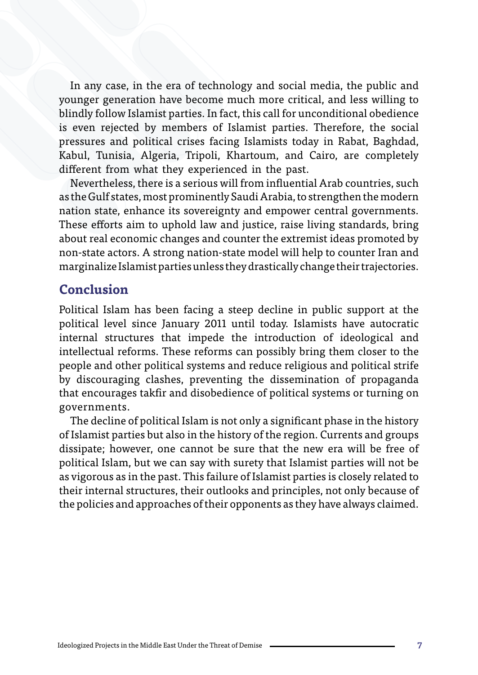<span id="page-6-0"></span>In any case, in the era of technology and social media, the public and younger generation have become much more critical, and less willing to blindly follow Islamist parties. In fact, this call for unconditional obedience is even rejected by members of Islamist parties. Therefore, the social pressures and political crises facing Islamists today in Rabat, Baghdad, Kabul, Tunisia, Algeria, Tripoli, Khartoum, and Cairo, are completely different from what they experienced in the past.

Nevertheless, there is a serious will from influential Arab countries, such as the Gulf states, most prominently Saudi Arabia, to strengthen the modern nation state, enhance its sovereignty and empower central governments. These efforts aim to uphold law and justice, raise living standards, bring about real economic changes and counter the extremist ideas promoted by non-state actors. A strong nation-state model will help to counter Iran and marginalize Islamist parties unless they drastically change their trajectories.

### **Conclusion**

Political Islam has been facing a steep decline in public support at the political level since January 2011 until today. Islamists have autocratic internal structures that impede the introduction of ideological and intellectual reforms. These reforms can possibly bring them closer to the people and other political systems and reduce religious and political strife by discouraging clashes, preventing the dissemination of propaganda that encourages takfir and disobedience of political systems or turning on governments.

The decline of political Islam is not only a significant phase in the history of Islamist parties but also in the history of the region. Currents and groups dissipate; however, one cannot be sure that the new era will be free of political Islam, but we can say with surety that Islamist parties will not be as vigorous as in the past. This failure of Islamist parties is closely related to their internal structures, their outlooks and principles, not only because of the policies and approaches of their opponents as they have always claimed.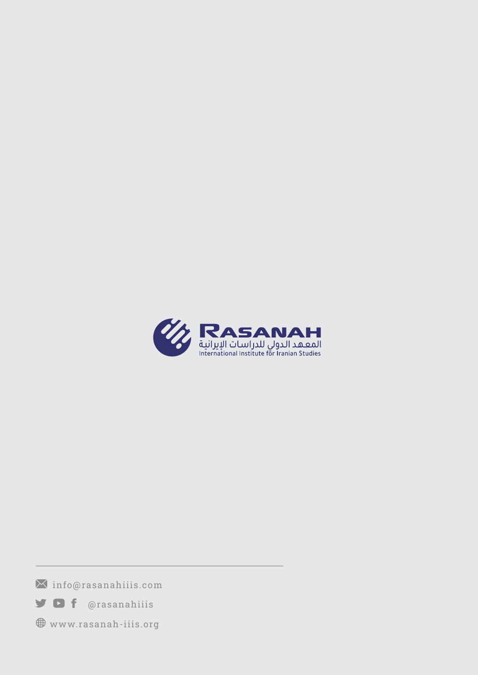

info@rasanahiiis.com

**y f** @rasanahiiis

www.rasanah-iiis.org